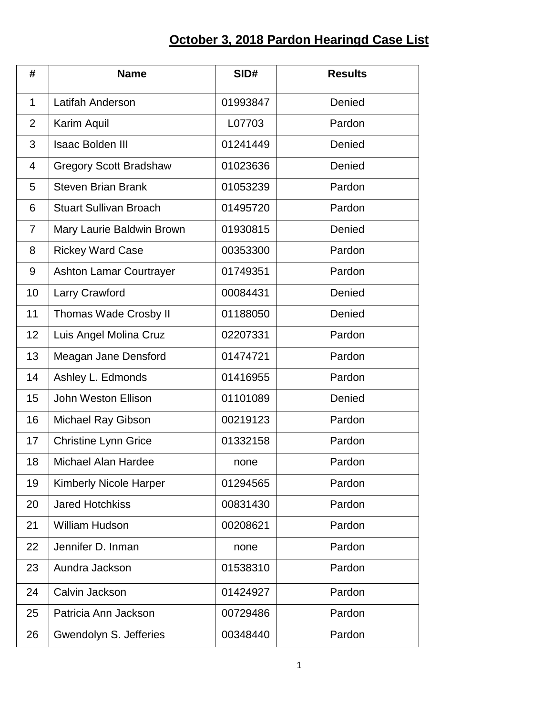## **October 3, 2018 Pardon Hearingd Case List**

| #              | <b>Name</b>                    | SID#     | <b>Results</b> |
|----------------|--------------------------------|----------|----------------|
| $\mathbf{1}$   | Latifah Anderson               | 01993847 | Denied         |
| $\overline{2}$ | Karim Aquil                    | L07703   | Pardon         |
| 3              | <b>Isaac Bolden III</b>        | 01241449 | Denied         |
| $\overline{4}$ | <b>Gregory Scott Bradshaw</b>  | 01023636 | Denied         |
| 5              | <b>Steven Brian Brank</b>      | 01053239 | Pardon         |
| 6              | <b>Stuart Sullivan Broach</b>  | 01495720 | Pardon         |
| $\overline{7}$ | Mary Laurie Baldwin Brown      | 01930815 | Denied         |
| 8              | <b>Rickey Ward Case</b>        | 00353300 | Pardon         |
| 9              | <b>Ashton Lamar Courtrayer</b> | 01749351 | Pardon         |
| 10             | Larry Crawford                 | 00084431 | Denied         |
| 11             | <b>Thomas Wade Crosby II</b>   | 01188050 | Denied         |
| 12             | Luis Angel Molina Cruz         | 02207331 | Pardon         |
| 13             | Meagan Jane Densford           | 01474721 | Pardon         |
| 14             | Ashley L. Edmonds              | 01416955 | Pardon         |
| 15             | John Weston Ellison            | 01101089 | Denied         |
| 16             | Michael Ray Gibson             | 00219123 | Pardon         |
| 17             | <b>Christine Lynn Grice</b>    | 01332158 | Pardon         |
| 18             | <b>Michael Alan Hardee</b>     | none     | Pardon         |
| 19             | <b>Kimberly Nicole Harper</b>  | 01294565 | Pardon         |
| 20             | <b>Jared Hotchkiss</b>         | 00831430 | Pardon         |
| 21             | <b>William Hudson</b>          | 00208621 | Pardon         |
| 22             | Jennifer D. Inman              | none     | Pardon         |
| 23             | Aundra Jackson                 | 01538310 | Pardon         |
| 24             | Calvin Jackson                 | 01424927 | Pardon         |
| 25             | Patricia Ann Jackson           | 00729486 | Pardon         |
| 26             | Gwendolyn S. Jefferies         | 00348440 | Pardon         |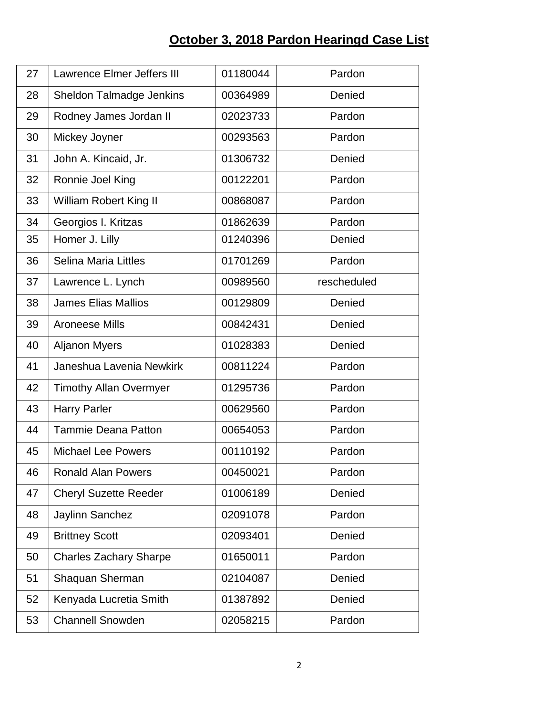## **October 3, 2018 Pardon Hearingd Case List**

| 27 | <b>Lawrence Elmer Jeffers III</b> | 01180044 | Pardon      |
|----|-----------------------------------|----------|-------------|
| 28 | Sheldon Talmadge Jenkins          | 00364989 | Denied      |
| 29 | Rodney James Jordan II            | 02023733 | Pardon      |
| 30 | Mickey Joyner                     | 00293563 | Pardon      |
| 31 | John A. Kincaid, Jr.              | 01306732 | Denied      |
| 32 | Ronnie Joel King                  | 00122201 | Pardon      |
| 33 | <b>William Robert King II</b>     | 00868087 | Pardon      |
| 34 | Georgios I. Kritzas               | 01862639 | Pardon      |
| 35 | Homer J. Lilly                    | 01240396 | Denied      |
| 36 | <b>Selina Maria Littles</b>       | 01701269 | Pardon      |
| 37 | Lawrence L. Lynch                 | 00989560 | rescheduled |
| 38 | <b>James Elias Mallios</b>        | 00129809 | Denied      |
| 39 | <b>Aroneese Mills</b>             | 00842431 | Denied      |
| 40 | <b>Aljanon Myers</b>              | 01028383 | Denied      |
| 41 | Janeshua Lavenia Newkirk          | 00811224 | Pardon      |
| 42 | <b>Timothy Allan Overmyer</b>     | 01295736 | Pardon      |
| 43 | <b>Harry Parler</b>               | 00629560 | Pardon      |
| 44 | <b>Tammie Deana Patton</b>        | 00654053 | Pardon      |
| 45 | <b>Michael Lee Powers</b>         | 00110192 | Pardon      |
| 46 | <b>Ronald Alan Powers</b>         | 00450021 | Pardon      |
| 47 | <b>Cheryl Suzette Reeder</b>      | 01006189 | Denied      |
| 48 | Jaylinn Sanchez                   | 02091078 | Pardon      |
| 49 | <b>Brittney Scott</b>             | 02093401 | Denied      |
| 50 | <b>Charles Zachary Sharpe</b>     | 01650011 | Pardon      |
| 51 | Shaquan Sherman                   | 02104087 | Denied      |
| 52 | Kenyada Lucretia Smith            | 01387892 | Denied      |
| 53 | <b>Channell Snowden</b>           | 02058215 | Pardon      |